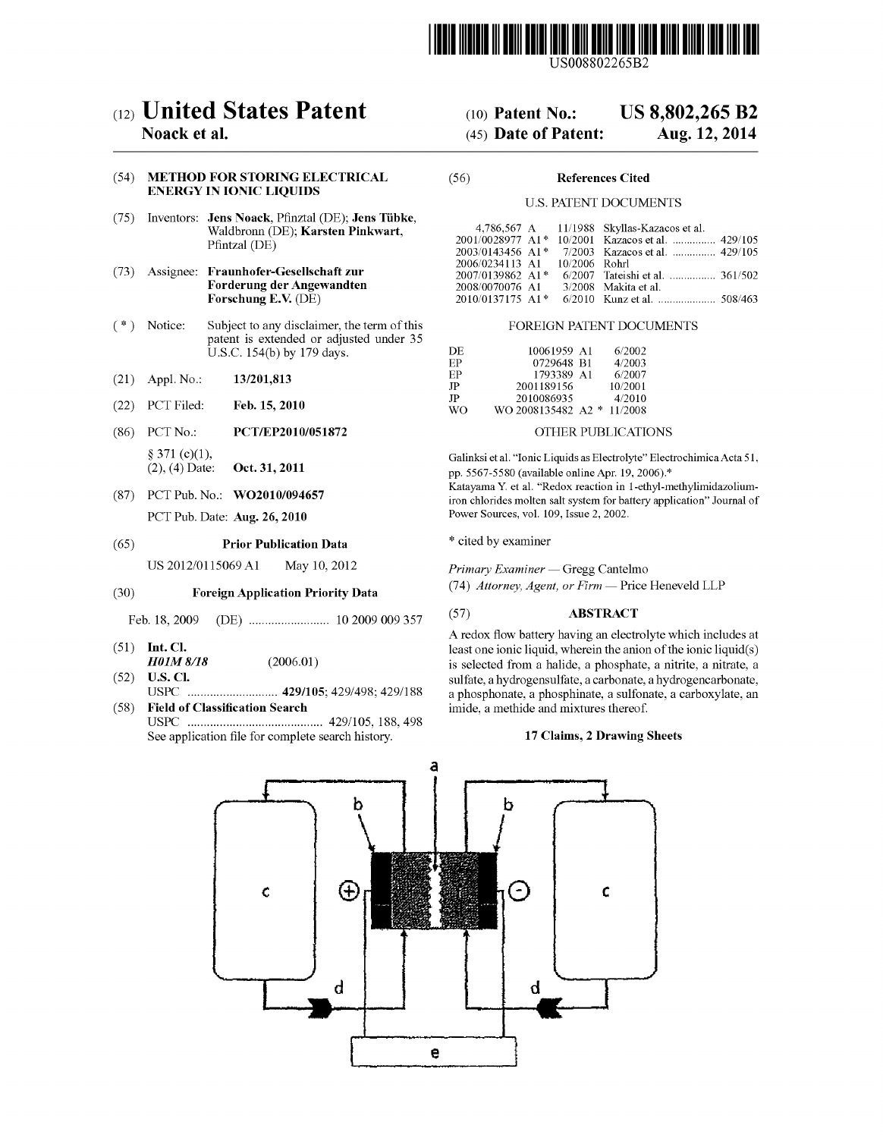

US008802265B2

# (12) United States Patent

### Noack et al.

#### (54) METHOD FOR STORING ELECTRICAL ENERGY IN IONIC LIQUIDS

- (75) Inventors: Jens Noack, Pfinztal (DE); Jens Tibke, Waldbronn (DE); Karsten Pinkwart, Pfintzal (DE)
- (73) Assignee: Fraunhofer-Gesellschaft zur Forderung der Angewandten Forschung E.V. (DE)
- (\*) Notice: Subject to any disclaimer, the term of this patent is extended or adjusted under 35 U.S.C. 154(b) by 179 days.
- (21) Appl. No.: 13/201,813
- (22) PCT Filed: Feb. 15, 2010
- (86). PCT No.:  $§$  371 (c)(1), (2), (4) Date: PCT/EP2010/051872 Oct. 31, 2011
- (87) PCT Pub. No.: WO2010/094657 PCT Pub. Date: Aug. 26, 2010

## (65) Prior Publication Data

US 2012/0115069 A1 May 10, 2012

#### (30) Foreign Application Priority Data

Feb. 18, 2009 (DE) ......................... 10 2009 OO9357

- (51) Int. Cl.
- HOLM 8/18 (52) U.S. Cl. (2006.01)
- USPC ............................ 429/105:429/498; 429/188 (58) Field of Classification Search
- USPC .......................................... 429/105, 188, 498 See application file for complete search history.

#### US 8,802.265 B2 (10) Patent No.:

#### Aug. 12, 2014 (45) Date of Patent:

#### (56) References Cited

#### U.S. PATENT DOCUMENTS

|                               |  | 4,786,567 A 11/1988 Skyllas-Kazacos et al.       |
|-------------------------------|--|--------------------------------------------------|
|                               |  | 2001/0028977 A1* 10/2001 Kazacos et al.  429/105 |
|                               |  | 2003/0143456 A1* 7/2003 Kazacos et al.  429/105  |
| 2006/0234113 A1 10/2006 Rohrl |  |                                                  |
| 2007/0139862 A1*              |  | 6/2007 Tate shi et al.  361/502                  |
| 2008/0070076 A1               |  | 3/2008 Makita et al.                             |
| 2010/0137175 A1*              |  |                                                  |

#### FOREIGN PATENT DOCUMENTS

| DE. | 10061959 A1        | 6/2002  |
|-----|--------------------|---------|
| FP. | 0729648 B1         | 4/2003  |
| ЕP  | 1793389 A1         | 6/2007  |
| JP  | 2001189156         | 10/2001 |
| JP  | 2010086935         | 4/2010  |
| WΟ  | WO 2008135482 A2 * | 11/2008 |

#### OTHER PUBLICATIONS

Galinksietal. "Ionic Liquids as Electrolyte" Electrochimica Acta 51. pp. 5567-5580 (available online Apr. 19, 2006).\* Katayama Y. et al. "Redox reaction in 1-ethyl-methylimidazolium

iron chlorides molten salt system for battery application" Journal of Power Sources, vol. 109, Issue 2, 2002.

\* cited by examiner

Primary Examiner — Gregg Cantelmo

(74) Attorney, Agent, or Firm — Price Heneveld LLP

#### (57) ABSTRACT

A redox flow battery having an electrolyte which includes at least one ionic liquid, wherein the anion of the ionic liquid(s) is selected from a halide, a phosphate, a nitrite, a nitrate, a sulfate, a hydrogensulfate, a carbonate, a hydrogencarbonate, a phosphonate, a phosphinate, a sulfonate, a carboxylate, an imide, a methide and mixtures thereof.

#### 17 Claims, 2 Drawing Sheets

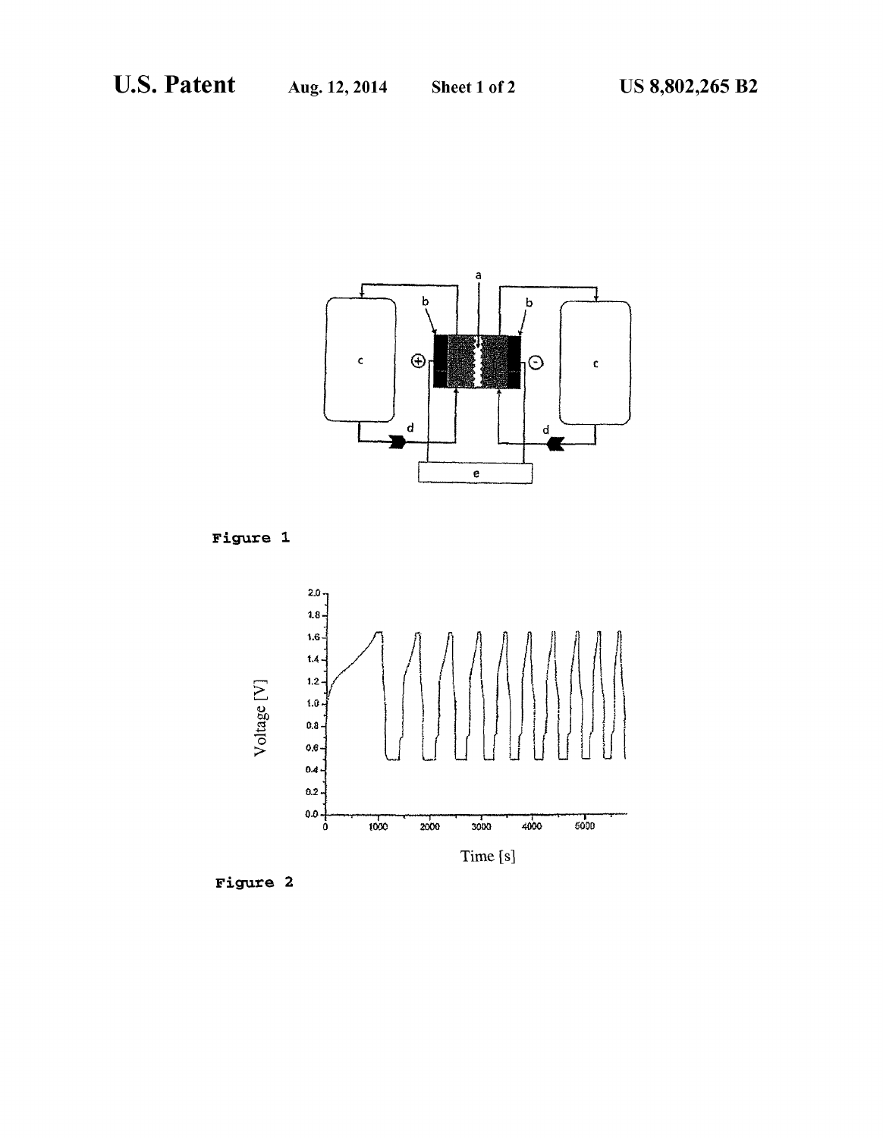

Figure 1.



Figure 2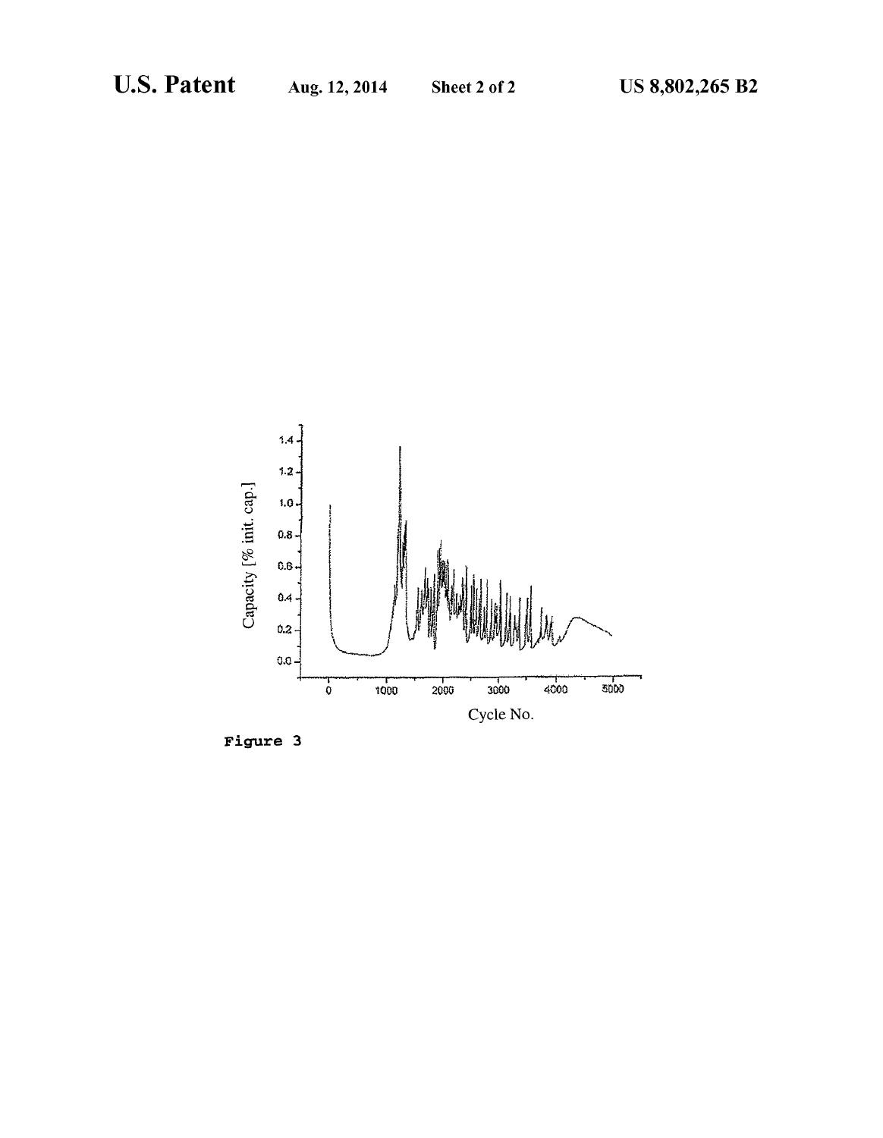

Figure 3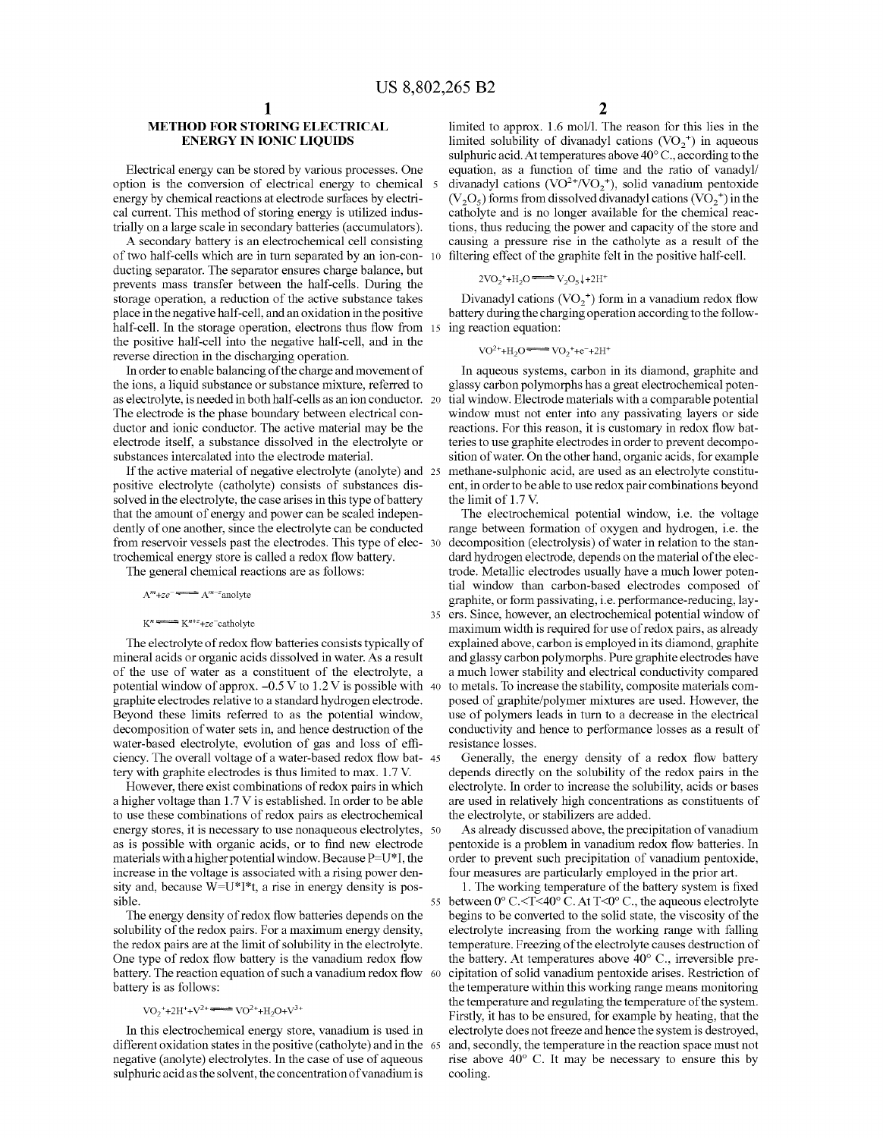#### **METHOD FOR STORING ELECTRICAL** ENERGY IN IONIC LIQUIDS

Electrical energy can be stored by various processes. One option is the conversion of electrical energy to chemical energy by chemical reactions at electrode surfaces by electrical current. This method of storing energy is utilized indus trially on a large scale in secondary batteries (accumulators).

A secondary battery is an electrochemical cell consisting of two half-cells which are in turn separated by an ion-con- 10 ducting separator. The separator ensures charge balance, but prevents mass transfer between the half-cells. During the storage operation, a reduction of the active substance takes place in the negative half-cell, and an oxidation in the positive half-cell. In the storage operation, electrons thus flow from 15 ing reaction equation: the positive half-cell into the negative half-cell, and in the reverse direction in the discharging operation.

In order to enable balancing of the charge and movement of the ions, a liquid Substance or Substance mixture, referred to as electrolyte, is needed in both half-cells as anion conductor. The electrode is the phase boundary between electrical con ductor and ionic conductor. The active material may be the electrode itself, a substance dissolved in the electrolyte or substances intercalated into the electrode material.

If the active material of negative electrolyte (anolyte) and 25 positive electrolyte (catholyte) consists of substances dissolved in the electrolyte, the case arises in this type of battery that the amount of energy and power can be scaled indepen dently of one another, since the electrolyte can be conducted from reservoir vessels past the electrodes. This type of elec- 30 trochemical energy store is called a redox flow battery.

The general chemical reactions are as follows:

 $A^{m}+ze^{-} \longrightarrow A^{m-z}$ anolyte

#### $K^n \longrightarrow K^{n+z} + ze^-$ catholyte

The electrolyte of redox flow batteries consists typically of mineral acids or organic acids dissolved in water. As a result of the use of water as a constituent of the electrolyte, a potential window of approx.  $-0.5 \text{ V}$  to  $1.2 \text{ V}$  is possible with 40 graphite electrodes relative to a standard hydrogen electrode. Beyond these limits referred to as the potential window, decomposition of water sets in, and hence destruction of the water-based electrolyte, evolution of gas and loss of effi ciency. The overall voltage of a water-based redox flow bat 45 tery with graphite electrodes is thus limited to max. 1.7V.

However, there exist combinations of redox pairs in which a higher voltage than 1.7 V is established. In order to be able to use these combinations of redox pairs as electrochemical energy stores, it is necessary to use nonaqueous electrolytes, 50 as is possible with organic acids, or to find new electrode materials with a higher potential window. Because  $P=U^*I$ , the increase in the Voltage is associated with a rising power den sity and, because W=U\*I\*t, a rise in energy density is pos sible.

The energy density of redox flow batteries depends on the solubility of the redox pairs. For a maximum energy density, the redox pairs are at the limit of solubility in the electrolyte. One type of redox flow battery is the vanadium redox flow battery. The reaction equation of such a vanadium redox flow 60 battery is as follows:

#### $\text{VO}_2^+ + 2\text{H}^+ + \text{V}^{2+}$   $\longrightarrow$   $\text{VO}^{2+} + \text{H}_2\text{O} + \text{V}^{3+}$

In this electrochemical energy store, Vanadium is used in different oxidation states in the positive (catholyte) and in the 65 negative (anolyte) electrolytes. In the case of use of aqueous sulphuric acid as the solvent, the concentration of vanadium is

limited to approx. 1.6 mol/l. The reason for this lies in the limited solubility of divanadyl cations  $(VO<sub>2</sub><sup>+</sup>)$  in aqueous sulphuric acid. At temperatures above  $40^{\circ}$ C., according to the equation, as a function of time and the ratio of vanadyl/ divanadyl cations (VO<sup>2+</sup>/VO<sub>2</sub><sup>+</sup>), solid vanadium pentoxide  $(V<sub>2</sub>O<sub>5</sub>)$  forms from dissolved divanadyl cations  $(VO<sub>2</sub><sup>+</sup>)$  in the catholyte and is no longer available for the chemical reac tions, thus reducing the power and capacity of the store and causing a pressure rise in the catholyte as a result of the filtering effect of the graphite felt in the positive half-cell.

$$
2\text{VO}_2^+ + \text{H}_2\text{O} \longrightarrow \text{V}_2\text{O}_5 + 2\text{H}^+
$$

Divanadyl cations  $({\rm VO}_{2}^+)$  form in a vanadium redox flow battery during the charging operation according to the follow

$$
VO^{2+} + H_2O \longrightarrow \text{VO}_2 + e^- + 2H^+
$$

In aqueous systems, carbon in its diamond, graphite and glassy carbon polymorphs has a great electrochemical poten window must not enter into any passivating layers or side reactions. For this reason, it is customary in redox flow bat teries to use graphite electrodes in order to prevent decomposition of water. On the other hand, organic acids, for example methane-sulphonic acid, are used as an electrolyte constituent, in order to be able to use redox pair combinations beyond the limit of 1.7 V.

35 ers. Since, however, an electrochemical potential window of The electrochemical potential window, i.e. the voltage range between formation of oxygen and hydrogen, i.e. the decomposition (electrolysis) of water in relation to the stan dard hydrogen electrode, depends on the material of the electrode. Metallic electrodes usually have a much lower potential window than carbon-based electrodes composed of graphite, or form passivating, i.e. performance-reducing, lay maximum width is required for use of redox pairs, as already explained above, carbon is employed in its diamond, graphite and glassy carbon polymorphs. Pure graphite electrodes have a much lower stability and electrical conductivity compared to metals. To increase the stability, composite materials com posed of graphite/polymer mixtures are used. However, the use of polymers leads in turn to a decrease in the electrical conductivity and hence to performance losses as a result of resistance losses.

Generally, the energy density of a redox flow battery depends directly on the solubility of the redox pairs in the electrolyte. In order to increase the solubility, acids or bases are used in relatively high concentrations as constituents of the electrolyte, or stabilizers are added.

As already discussed above, the precipitation of vanadium pentoxide is a problem in vanadium redox flow batteries. In order to prevent such precipitation of Vanadium pentoxide, four measures are particularly employed in the prior art.

55 between 0° C.<T<40° C. At T<0° C., the aqueous electrolyte 1. The working temperature of the battery system is fixed begins to be converted to the solid state, the viscosity of the electrolyte increasing from the working range with falling temperature. Freezing of the electrolyte causes destruction of the battery. At temperatures above 40°C., irreversible pre cipitation of Solid vanadium pentoxide arises. Restriction of the temperature within this working range means monitoring the temperature and regulating the temperature of the system. Firstly, it has to be ensured, for example by heating, that the electrolyte does not freeze and hence the system is destroyed, and, secondly, the temperature in the reaction space must not rise above 40° C. It may be necessary to ensure this by cooling.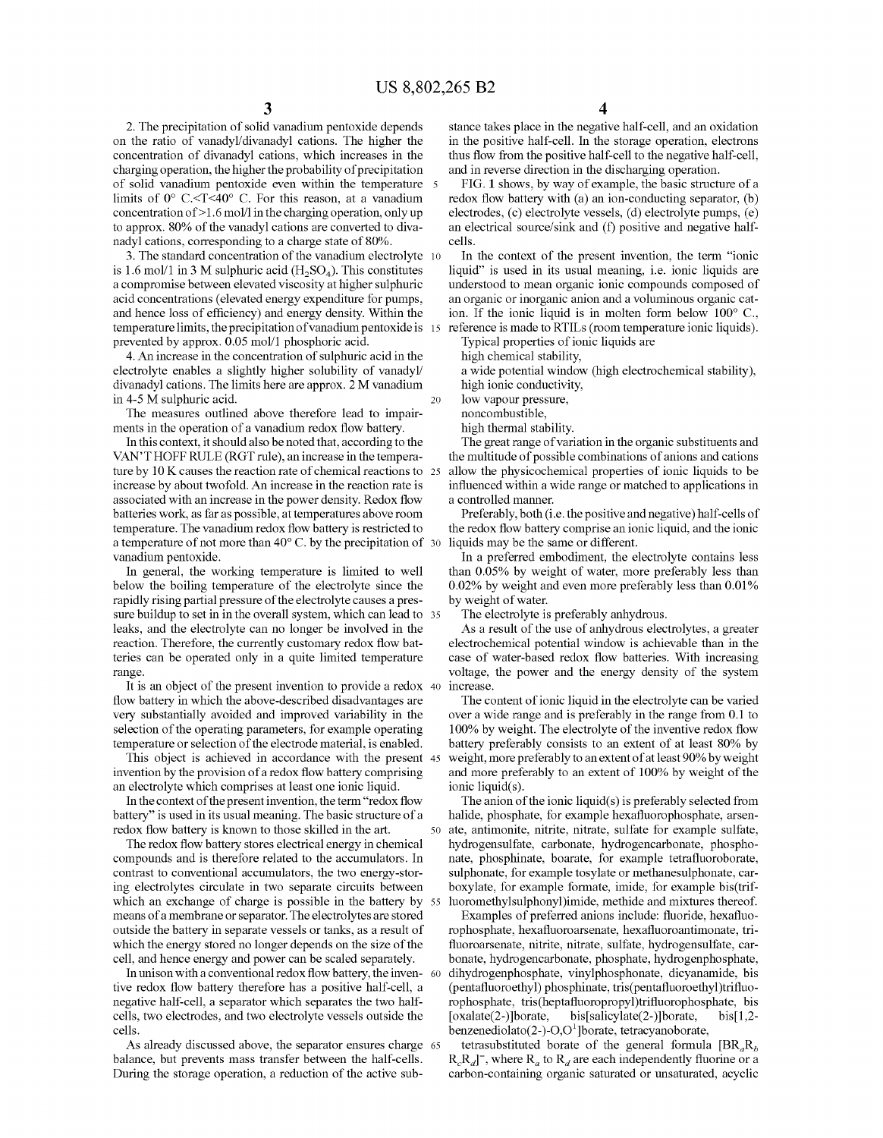2. The precipitation of Solid Vanadium pentoxide depends on the ratio of vanadyl/divanadyl cations. The higher the concentration of divanadyl cations, which increases in the charging operation, the higher the probability of precipitation of solid vanadium pentoxide even within the temperature 5 limits of 0° C.<T<40° C. For this reason, at a vanadium concentration of >1.6 mol/l in the charging operation, only up to approx. 80% of the vanadyl cations are converted to diva nadyl cations, corresponding to a charge state of 80%.

3. The standard concentration of the vanadium electrolyte 10 is 1.6 mol/1 in 3 M sulphuric acid  $(H_2SO_4)$ . This constitutes a compromise between elevated viscosity at higher sulphuric acid concentrations (elevated energy expenditure for pumps, and hence loss of efficiency) and energy density. Within the temperature limits, the precipitation of vanadium pentoxide is 15 prevented by approx. 0.05 mol/1 phosphoric acid.

4. An increase in the concentration of Sulphuric acid in the electrolyte enables a slightly higher solubility of vanady1/ divanadyl cations. The limits here are approx. 2 M vanadium in 4-5 M sulphuric acid.

The measures outlined above therefore lead to impair ments in the operation of a vanadium redox flow battery.

In this context, it should also be noted that, according to the VANT HOFF RULE (RGT rule), an increase in the tempera ture by  $10 \text{ K}$  causes the reaction rate of chemical reactions to  $25 \text{ K}$ increase by about twofold. An increase in the reaction rate is associated with an increase in the power density. Redox flow batteries work, as far as possible, at temperatures above room temperature. The vanadium redox flow battery is restricted to a temperature of not more than 40°C. by the precipitation of 30 Vanadium pentoxide.

In general, the working temperature is limited to well below the boiling temperature of the electrolyte since the rapidly rising partial pressure of the electrolyte causes a pres sure buildup to set in in the overall system, which can lead to 35 leaks, and the electrolyte can no longer be involved in the reaction. Therefore, the currently customary redox flow bat teries can be operated only in a quite limited temperature range.

It is an object of the present invention to provide a redox 40 flow battery in which the above-described disadvantages are very substantially avoided and improved variability in the selection of the operating parameters, for example operating temperature or selection of the electrode material, is enabled.

invention by the provision of a redox flow battery comprising an electrolyte which comprises at least one ionic liquid. This object is achieved in accordance with the present 45

In the context of the present invention, the term "redox flow battery' is used in its usual meaning. The basic structure of a redox flow battery is known to those skilled in the art.

The redox flow battery stores electrical energy in chemical compounds and is therefore related to the accumulators. In ing electrolytes circulate in two separate circuits between which an exchange of charge is possible in the battery by 55 means of a membrane or separator. The electrolytes are stored outside the battery in separate vessels or tanks, as a result of which the energy stored no longer depends on the size of the cell, and hence energy and power can be scaled separately.

In unison with a conventional redox flow battery, the inven-  $\frac{60}{20}$ tive redox flow battery therefore has a positive half-cell, a negative half-cell, a separator which separates the two half cells, two electrodes, and two electrolyte vessels outside the cells.

As already discussed above, the separator ensures charge 65 balance, but prevents mass transfer between the half-cells. During the storage operation, a reduction of the active sub-

stance takes place in the negative half-cell, and an oxidation in the positive half-cell. In the storage operation, electrons thus flow from the positive half-cell to the negative half-cell, and in reverse direction in the discharging operation.

FIG. 1 shows, by way of example, the basic structure of a redox flow battery with (a) an ion-conducting separator, (b) electrodes, (c) electrolyte vessels, (d) electrolyte pumps, (e) an electrical source/sink and (f) positive and negative halfcells.

In the context of the present invention, the term "ionic liquid" is used in its usual meaning, i.e. ionic liquids are understood to mean organic ionic compounds composed of an organic or inorganic anion and a Voluminous organic cat ion. If the ionic liquid is in molten form below 100° C. reference is made to RTILS (room temperature ionic liquids). Typical properties of ionic liquids are

high chemical stability,

a wide potential window (high electrochemical stability), high ionic conductivity,

low vapour pressure,

noncombustible,

high thermal stability.

The great range of variation in the organic substituents and the multitude of possible combinations of anions and cations allow the physicochemical properties of ionic liquids to be influenced within a wide range or matched to applications in a controlled manner.

Preferably, both (i.e. the positive and negative) half-cells of the redox flow battery comprise an ionic liquid, and the ionic liquids may be the same or different.

In a preferred embodiment, the electrolyte contains less than 0.05% by weight of water, more preferably less than 0.02% by weight and even more preferably less than 0.01% by weight of water.

The electrolyte is preferably anhydrous.

As a result of the use of anhydrous electrolytes, a greater electrochemical potential window is achievable than in the voltage, the power and the energy density of the system increase.

The content of ionic liquid in the electrolyte can be varied over a wide range and is preferably in the range from 0.1 to 100% by weight. The electrolyte of the inventive redox flow<br>battery preferably consists to an extent of at least 80% by weight, more preferably to an extent of at least 90% by weight and more preferably to an extent of 100% by weight of the ionic liquid(s).

50 ate, antimonite, nitrite, nitrate, sulfate for example sulfate, The anion of the ionic liquid(s) is preferably selected from halide, phosphate, for example hexafluorophosphate, arsen hydrogensulfate, carbonate, hydrogencarbonate, phosphonate, phosphinate, boarate, for example tetrafluoroborate, sulphonate, for example tosylate or methanesulphonate, carboxylate, for example formate, imide, for example bis(trif luoromethylsulphonyl)imide, methide and mixtures thereof.

Examples of preferred anions include: fluoride, hexafluo rophosphate, hexafluoroarsenate, hexafluoroantimonate, tri fluoroarsenate, nitrite, nitrate, sulfate, hydrogensulfate, car-<br>bonate, hydrogencarbonate, phosphate, hydrogenphosphate, dihydrogenphosphate, vinylphosphonate, dicyanamide, bis (pentafluoroethyl) phosphinate, tris(pentafluoroethyl)trifluo rophosphate, tris(heptafluoropropyl)trifluorophosphate, bis [oxalate(2-)]borate, bis[salicylate(2-)]borate, bis[1,2-<br>benzenediolato(2-)-O,O<sup>1</sup>]borate, tetracyanoborate,

tetrasubstituted borate of the general formula  $[BR_aR_b]$  $R_cR_d$ , where  $R_a$  to  $R_d$  are each independently fluorine or a carbon-containing organic saturated or unsaturated, acyclic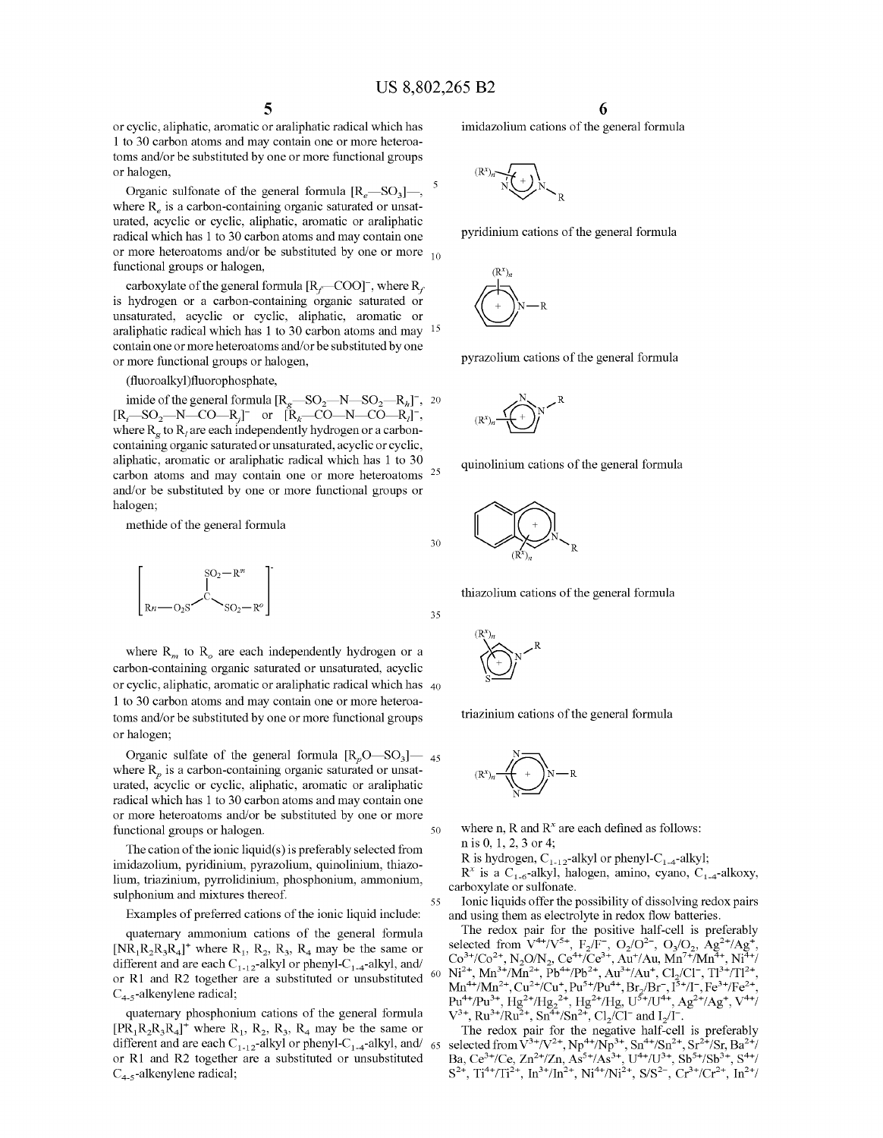or cyclic, aliphatic, aromatic or araliphatic radical which has 1 to 30 carbon atoms and may contain one or more heteroa toms and/or be substituted by one or more functional groups or halogen,

Organic sulfonate of the general formula  $[R_e$ —SO<sub>3</sub>]—, where  $R_e$  is a carbon-containing organic saturated or unsaturated, acyclic or cyclic, aliphatic, aromatic or araliphatic radical which has 1 to 30 carbon atoms and may contain one or more neteroatoms and/or be substituted by one or more  $_{10}$ functional groups or halogen,

carboxylate of the general formula  $[R_f$ —COO]<sup>-</sup>, where  $R_f$  is hydrogen or a carbon-containing organic saturated or unsaturated, acyclic or cyclic, aliphatic, aromatic or araliphatic radical which has 1 to 30 carbon atoms and may contain one or more heteroatoms and/or be substituted by one or more functional groups or halogen, 15

(fluoroalkyl)fluorophosphate,

imide of the general formula  $[R_g$ —SO<sub>2</sub>—N—SO<sub>2</sub>—R<sub>h</sub>]<sup>-</sup>, 20<br> $[R_i$ —SO<sub>2</sub>—N—CO—R<sub>j</sub>]<sup>-</sup> or  $[R_k$ —CO—N—CO—R<sub>j</sub>]<sup>-</sup>, where  $R_{\varrho}$  to  $R_{\iota}$  are each independently hydrogen or a carboncontaining organic saturated or unsaturated, acyclic or cyclic, aliphatic, aromatic or araliphatic radical which has 1 to 30 carbon atoms and may contain one or more heteroatoms and/or be substituted by one or more functional groups or halogen; 25

methide of the general formula

$$
\begin{bmatrix}S^{O_2-R^m}\\|\\Rn-O_2S\end{bmatrix}
$$

where  $R_m$  to  $R_o$  are each independently hydrogen or a carbon-containing organic saturated or unsaturated, acyclic or cyclic, aliphatic, aromatic or araliphatic radical which has 40 1 to 30 carbon atoms and may contain one or more heteroa toms and/or be substituted by one or more functional groups or halogen;

where  $R_n$  is a carbon-containing organic saturated or unsaturated, acyclic or cyclic, aliphatic, aromatic or araliphatic radical which has 1 to 30 carbon atoms and may contain one or more heteroatoms and/or be substituted by one or more functional groups or halogen. Organic sulfate of the general formula  $[R_pO$ —SO<sub>3</sub>]— 45 50

The cation of the ionic liquid(s) is preferably selected from imidazolium, pyridinium, pyrazolium, quinolinium, thiazo lium, triazinium, pyrrolidinium, phosphonium, ammonium, sulphonium and mixtures thereof.

Examples of preferred cations of the ionic liquid include:

quaternary ammonium cations of the general formula  $[NR_1R_2R_3R_4]^+$  where  $R_1$ ,  $R_2$ ,  $R_3$ ,  $R_4$  may be the same or different and are each  $C_{1-12}$ -alkyl or phenyl- $C_{1-4}$ -alkyl, and/ or R1 and R2 together are a substituted or unsubstituted  $C_{4-5}$ -alkenylene radical;

quaternary phosphonium cations of the general formula  $[PR_1R_2R_3R_4]^+$  where  $R_1$ ,  $R_2$ ,  $R_3$ ,  $R_4$  may be the same or different and are each  $C_{1-12}$ -alkyl or phenyl- $C_{1-4}$ -alkyl, and/ or R1 and R2 together are a substituted or unsubstituted  $C_{4-5}$ -alkenylene radical; 65 imidazolium cations of the general formula









pyrazolium cations of the general formula







30

35

55

60

thiazolium cations of the general formula



triazinium cations of the general formula



where n, R and  $R<sup>x</sup>$  are each defined as follows: n is 0, 1, 2, 3 or 4:

R is hydrogen,  $C_{1-12}$ -alkyl or phenyl- $C_{1-4}$ -alkyl;

 $R^x$  is a C<sub>1-6</sub>-alkyl, halogen, amino, cyano, C<sub>1-4</sub>-alkoxy, carboxylate or sulfonate.

Ionic liquids offer the possibility of dissolving redox pairs and using them as electrolyte in redox flow batteries.<br>The redox pair for the positive half-cell is preferably

The redox pair for the positive half-cell is preterably<br>selected from  $V^{4+}/V^{5+}$ ,  $F_2/F^-$ ,  $O_2/O^2$ ,  $O_3/O_2$ ,  $Ag^{2+}/Ag^+$ ,<br> $Co^{3+}/Co^{2+}$ ,  $N_2O/N_2$ ,  $Ce^{4+}/Ce^{3+}$ ,  $Au^+/Au$ ,  $Mn^{7+}/Mn^{4+}$ ,  $Ni^{4+}/Ni^{2+}$ ,  $Mn^{3+}/Mn^{2+}$ ,  $Pb$  $V^{\prime\prime}$ , Ru<sup> $\prime\prime$ </sup>/Ru<sup>-</sup>, Sn<sup>-</sup>/Sn<sup>-</sup>, Cl<sub>2</sub>/C1 and  $I_2/I$ .

The redox pair for the negative half-cell is preferably selected from  $V^{3+}/V^{2+}$ ,  $N_{\text{D}}^{8+}/N_{\text{D}}^{3+}$ , Sn<sup>4+</sup>/Sn<sup>2+</sup>/Sn<sub>2</sub><sup>+</sup>/Sn<sub>2</sub><sup>+</sup>/Sn<sub>2</sub><sup>+</sup>/Sn<sub>2</sub><sup>+</sup>/Snt, Ba<sup>2+</sup>/  $Ba, Ce^{3+}/Ce, Zn^{2+}/Zn, As^{3+}/As^{3+}, U^{4+}/U^{3+}, Sb^{3+}/Sb^{3+}, S^{4+}/Zn, A^{3+}/Zn, A^{3+}/Zn^{3+}, Q^{4+}/U^{3+}, Sb^{3+}/Sb^{3+}, S^{4+}/Zn, A^{3+}/Zn, A^{3+}/Zn^{3+}, Q^{4+}/U^{3+}, Q^{4+}/Zn^{3+}, Q^{4+}/Zn^{3+}, Q^{4+}/Zn^{3+}, Q^{4+}/Zn^{3+}, Q^{4+}/Zn^{3+}, Q^{4+}/Zn^{3+}, Q^{4+}/Zn^{3+}, Q^{4+}/Zn$  $S^{2+}$ , Ti<sup>4+</sup>/Ti<sup>2+</sup>, In<sup>3+</sup>/In<sup>2+</sup>, Ni<sup>4+</sup>/Ni<sup>2+</sup>, S/S<sup>2-</sup>, Cr<sup>3+</sup>/Cr<sup>2+</sup>, In<sup>2+</sup>/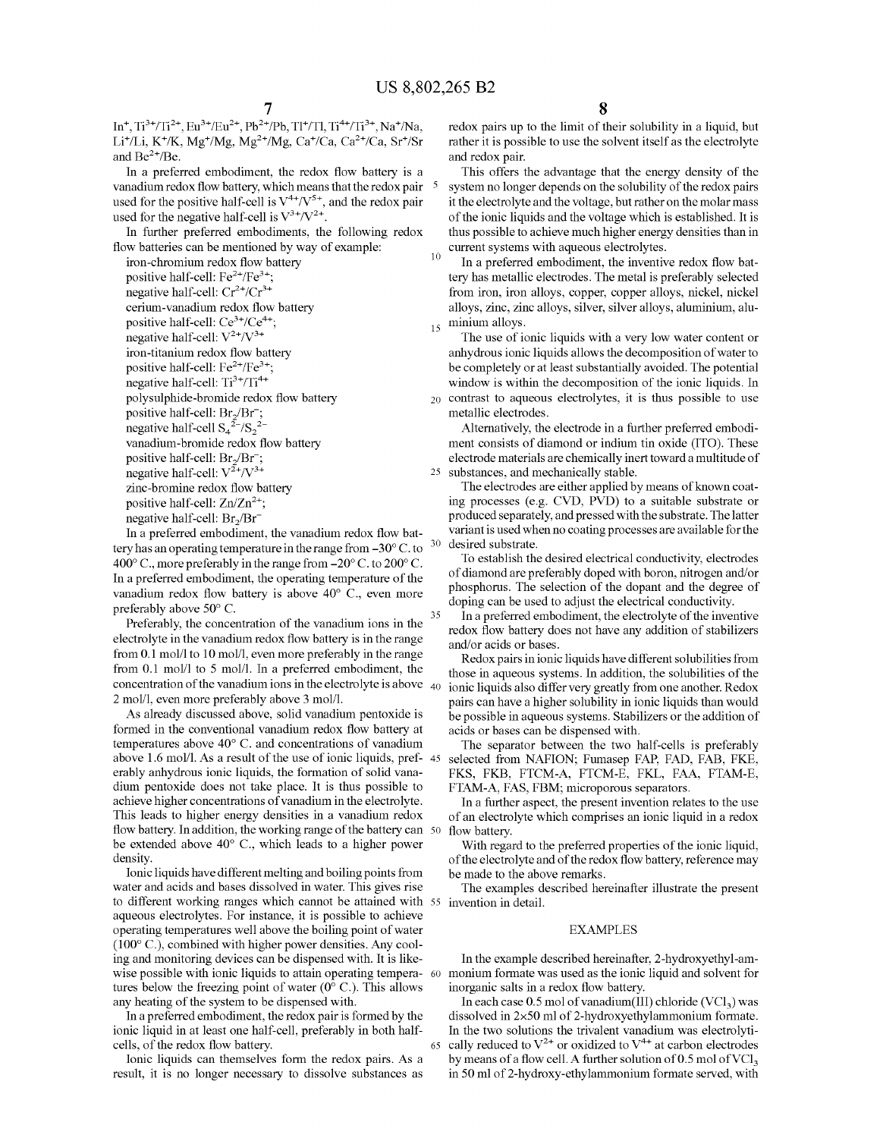10

25

30

65

7<br>
In<sup>+</sup>, Ti<sup>3+</sup>/Ti<sup>2+</sup>, Eu<sup>3+</sup>/Eu<sup>2+</sup>, Pb<sup>2+</sup>/Pb, Tl<sup>+</sup>/Tl, Ti<sup>4+</sup>/Ti<sup>3+</sup>, Na<sup>+</sup>/Na, Li<sup>+</sup>/Li, K<sup>+</sup>/K, Mg<sup>+</sup>/Mg, Mg<sup>2+</sup>/Mg, Ca<sup>+</sup>/Ca, Ca<sup>2+</sup>/Ca, Sr<sup>+</sup>/Sr and  $Be^{2+}/Be$ .

In a preferred embodiment, the redox flow battery is a vanadium redox flow battery, which means that the redox pair used for the positive half-cell is  $V^{4+}/V^{5+}$ , and the redox pair used for the negative half-cell is  $V^{3+}/V^{2+}$ .

In further preferred embodiments, the following redox

flow batteries can be mentioned by way of example:<br>iron-chromium redox flow battery positive half-cell:  $Fe^{2+}/Fe^{3+}$ ; negative half-cell:  $Cr^{2+}/Cr^{3+}$ <br>cerium-vanadium redox flow battery positive half-cell:  $Ce^{3+}/Ce^{4+}$ ; negative half-cell:  $V^{2+}/V^{3+}$ <br>iron-titanium redox flow battery positive half-cell:  $Fe^{2+}/Fe^{3+}$ ; negative half-cell: Ti<sup>3+</sup>/Ti<sup>4+</sup> polysulphide-bromide redox flow battery positive half-cell:  $Br_2/Br$ ;<br>negative half-cell  $S_4^2/S_2^2$ vanadium-bromide redox flow battery<br>positive half-cell:  $Br_2/Br^-$ ; negative half-cell:  $V^{2+}/V^{3+}$ <br>zinc-bromine redox flow battery positive half-cell:  $Zn/Zn^{2+}$ ; negative half-cell:  $Br<sub>2</sub>/Br<sup>-</sup>$ 

In a preferred embodiment, the vanadium redox flow bat tery has an operating temperature in the range from -30°C. to 400 $^{\circ}$  C., more preferably in the range from  $-20^{\circ}$  C. to 200 $^{\circ}$  C. In a preferred embodiment, the operating temperature of the vanadium redox flow battery is above 40° C., even more preferably above 50° C. 35

Preferably, the concentration of the vanadium ions in the electrolyte in the vanadium redox flow battery is in the range from 0.1 mol/l to 10 mol/l, even more preferably in the range from 0.1 mol/l to 5 mol/l. In a preferred embodiment, the concentration of the vanadium ions in the electrolyte is above  $\sim$   $40$ 2 mol/l, even more preferably above 3 mol/l.

As already discussed above, solid vanadium pentoxide is formed in the conventional vanadium redox flow battery at temperatures above 40° C. and concentrations of vanadium erably anhydrous ionic liquids, the formation of solid vanadium pentoxide does not take place. It is thus possible to This leads to higher energy densities in a vanadium redox flow battery. In addition, the working range of the battery can 50 be extended above 40° C., which leads to a higher power density. above 1.6 mol/l. As a result of the use of ionic liquids, pref- 45

Ionic liquids have different melting and boiling points from water and acids and bases dissolved in water. This gives rise to different working ranges which cannot be attained with 55 invention in detail. aqueous electrolytes. For instance, it is possible to achieve operating temperatures well above the boiling point of water (100° C.), combined with higher power densities. Any cool ing and monitoring devices can be dispensed with. It is like wise possible with ionic liquids to attain operating tempera- 60 tures below the freezing point of water  $(0^{\circ} \text{ C})$ . This allows any heating of the system to be dispensed with.

In a preferred embodiment, the redox pair is formed by the ionic liquid in at least one half-cell, preferably in both half-cells, of the redox flow battery.

Ionic liquids can themselves form the redox pairs. As a result, it is no longer necessary to dissolve substances as redox pairs up to the limit of their solubility in a liquid, but rather it is possible to use the solvent itself as the electrolyte and redox pair.

This offers the advantage that the energy density of the system no longer depends on the solubility of the redox pairs it the electrolyte and the voltage, but rather on the molar mass of the ionic liquids and the voltage which is established. It is thus possible to achieve much higher energy densities than in current systems with aqueous electrolytes.

 $_{15}$  minium alloys. In a preferred embodiment, the inventive redox flow bat tery has metallic electrodes. The metal is preferably selected from iron, iron alloys, copper, copper alloys, nickel, nickel alloys, zinc, zinc alloys, silver, silver alloys, aluminium, alu-

The use of ionic liquids with a very low water content or anhydrous ionic liquids allows the decomposition of water to be completely or at least substantially avoided. The potential window is within the decomposition of the ionic liquids. In contrast to aqueous electrolytes, it is thus possible to use metallic electrodes.

Alternatively, the electrode in a further preferred embodi ment consists of diamond or indium tin oxide (ITO). These electrode materials are chemically inert toward a multitude of substances, and mechanically stable.

The electrodes are either applied by means of known coat ing processes (e.g. CVD, PVD) to a suitable substrate or produced separately, and pressed with the substrate. The latter variant is used when no coating processes are available for the desired substrate.

To establish the desired electrical conductivity, electrodes of diamond are preferably doped with boron, nitrogen and/or phosphorus. The selection of the dopant and the degree of doping can be used to adjust the electrical conductivity.

In a preferred embodiment, the electrolyte of the inventive redox flow battery does not have any addition of stabilizers and/or acids or bases.

Redox pairs in ionic liquids have different solubilities from those in aqueous systems. In addition, the solubilities of the ionic liquids also differ very greatly from one another. Redox pairs can have a higher solubility in ionic liquids than would be possible in aqueous systems. Stabilizers or the addition of acids or bases can be dispensed with.

The separator between the two half-cells is preferably selected from NAFION: Fumasep FAP, FAD, FAB, FKE, FKS, FKB, FTCM-A, FTCM-E, FKL, FAA, FTAM-E, FTAM-A, FAS, FBM; microporous separators.

In a further aspect, the present invention relates to the use of an electrolyte which comprises an ionic liquid in a redox flow battery.

With regard to the preferred properties of the ionic liquid, of the electrolyte and of the redox flow battery, reference may be made to the above remarks.

The examples described hereinafter illustrate the present

#### EXAMPLES

In the example described hereinafter, 2-hydroxyethyl-am monium formate was used as the ionic liquid and solvent for inorganic salts in a redox flow battery.

In each case 0.5 mol of vanadium(III) chloride  $(VCl<sub>3</sub>)$  was dissolved in 2×50 ml of 2-hydroxyethylammonium formate.<br>In the two solutions the trivalent vanadium was electrolytically reduced to  $V^{2+}$  or oxidized to  $V^{4+}$  at carbon electrodes by means of a flow cell. A further solution of 0.5 mol of  $\text{VC1}_3$ in 50 ml of 2-hydroxy-ethylammonium formate served, with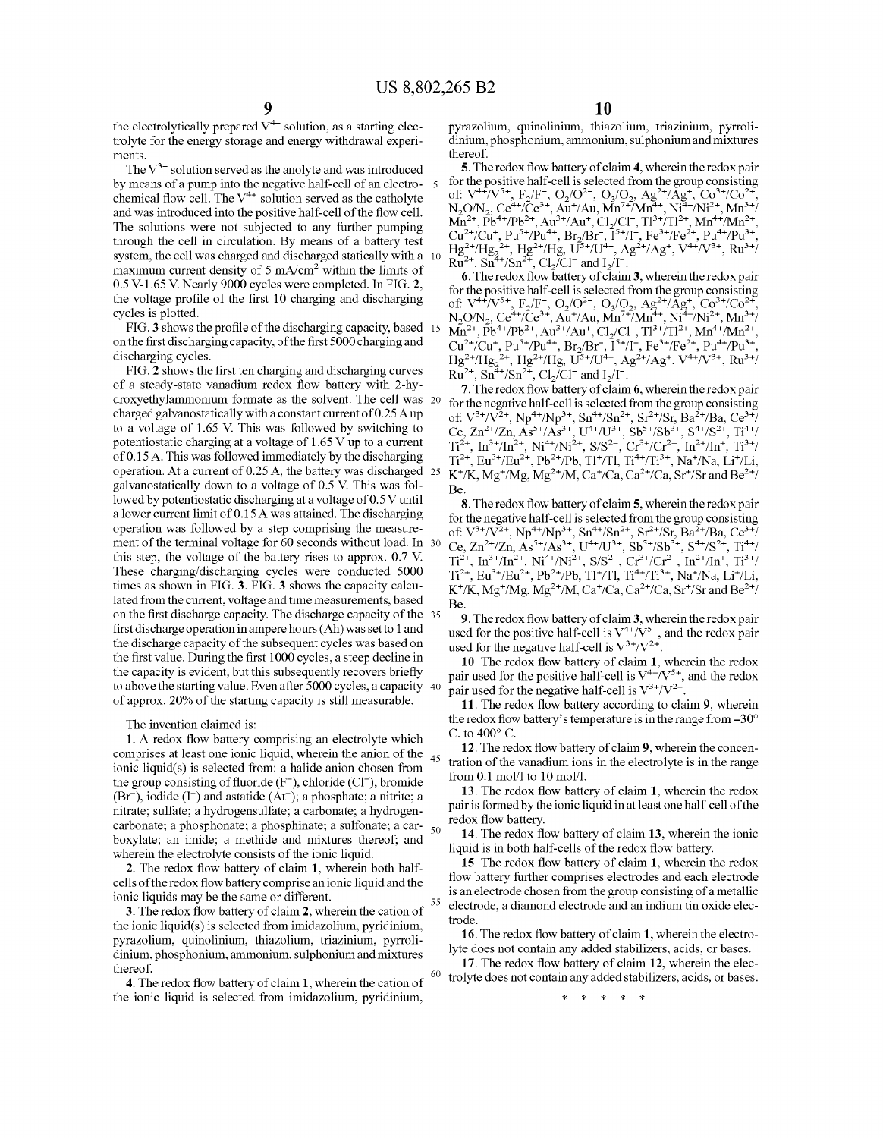$\mathcal{L}_{\mathcal{L}}$ 

55

60

the electrolytically prepared  $V^{4+}$  solution, as a starting electrolyte for the energy storage and energy withdrawal experi ments

The  $V^{3+}$  solution served as the anolyte and was introduced by means of a pump into the negative half-cell of an electro-<br>chemical flow cell. The  $V^{4+}$  solution served as the catholyte and was introduced into the positive half-cell of the flow cell. The solutions were not subjected to any further pumping through the cell in circulation. By means of a battery test system, the cell was charged and discharged statically with a 10 maximum current density of  $5 \text{ mA/cm}^2$  within the limits of 0.5 V-1.65 V. Nearly 9000 cycles were completed. In FIG. 2, the Voltage profile of the first 10 charging and discharging cycles is plotted.

FIG.3 shows the profile of the discharging capacity, based 15 on the first discharging capacity, of the first 5000 charging and discharging cycles.

FIG. 2 shows the first ten charging and discharging curves of a steady-state vanadium redox flow battery with 2-hy droxyethylammonium formate as the solvent. The cell was charged galvanostatically with a constant current of 0.25A up to a voltage of 1.65 V. This was followed by switching to potentiostatic charging at a voltage of  $1.65$  V up to a current of 0.15 A. This was followed immediately by the discharging of 0.15A. This was followed immediately by the discharging operation. At a current of 0.25A, the battery was discharged galvanostatically down to a voltage of 0.5 V. This was fol lowed by potentiostatic discharging at a voltage of 0.5 V until<br>a lower current limit of 0.15 A was attained. The discharging operation was followed by a step comprising the measurement of the terminal voltage for 60 seconds without load. In 30 this step, the voltage of the battery rises to approx. 0.7 V. These charging/discharging cycles were conducted 5000 times as shown in FIG. 3. FIG. 3 shows the capacity calcu lated from the current, Voltage and time measurements, based on the first discharge capacity. The discharge capacity of the 35 first discharge operation in ampere hours (Ah) was set to 1 and the discharge capacity of the subsequent cycles was based on the first value. During the first 1000 cycles, a steep decline in the capacity is evident, but this subsequently recovers briefly to above the starting value. Even after 5000 cycles, a capacity 40 of approx. 20% of the starting capacity is still measurable. 25

The invention claimed is:

1. A redox flow battery comprising an electrolyte which comprises at least one ionic liquid, wherein the anion of the  $_{45}$ ionic liquid(s) is selected from: a halide anion chosen from the group consisting of fluoride  $(F^-)$ , chloride  $(Cl^-)$ , bromide  $(Br^{-})$ , iodide (I<sup>-</sup>) and astatide  $(At^{-})$ ; a phosphate; a nitrite; a nitrate; sulfate; a hydrogensulfate; a carbonate; a hydrogen carbonate; a phosphonate; a phosphinate; a sulfonate; a carboxylate; an imide; a methide and mixtures thereof, and wherein the electrolyte consists of the ionic liquid.

2. The redox flow battery of claim 1, wherein both half cells of the redox flow battery comprise anionic liquid and the ionic liquids may be the same or different.

3. The redox flow battery of claim 2, wherein the cation of the ionic liquid( $s$ ) is selected from imidazolium, pyridinium, pyrazolium, quinolinium, thiazolium, triazinium, pyrrolidinium, phosphonium, ammonium, Sulphonium and mixtures thereof.

4. The redox flow battery of claim 1, wherein the cation of the ionic liquid is selected from imidazolium, pyridinium,

pyrazolium, quinolinium, thiazolium, triazinium, pyrroli dinium, phosphonium, ammonium, Sulphonium and mixtures thereof.<br>5. The redox flow battery of claim 4, wherein the redox pair

5. I ne redox now battery or claim 4, wherein the redox pair<br>for the positive half-cell is selected from the group consisting<br>of:  $V^{4+}/V^{5+}$ ,  $F_2/F^-$ ,  $O_2/O^2$ ,  $O_3/O_2$ ,  $Ag^{2+}/Ag^+$ ,  $Co^{3+}/Co^{2+}$ ,<br> $N_2O/N_2$ ,  $Ce^{4+}/Ce^{3+}$  $Ru^{-1}$ , Sn  $7\sin^{-1}$ , Cl<sub>2</sub>/C1 and  $1/1$ .

6. The redox flow battery of claim 3, wherein the redox pair for the positive half-cell is selected from the group consisting of:  $V^{4+}/V^{5+}$ ,  $F_2/F^-$ ,  $O_2/O^{2-}$ ,  $O_3/O_2$ ,  $Ag^{2+}/Ag^+$ ,  $Co^{3+}/Co^{2+}$ ,  $N_2O/N_2$ ,  $Ce^{4+}/Ce$  $Cu^{2+}/Cu^{+}$ ,  $Pu^{5+}/Pu^{4+}$ ,  $Br_2/Br^-$ ,  $\tilde{I}^{5+}/I^-$ ,  $Fe^{3+}/Fe^{2+}$ ,  $Pu^{4+}/Pu^{3+}$ ,  $Hg^{2+}/Hg_2^{2+}$ ,  $Hg^{2+}/Hg$ ,  $U^{5+}/U^{4+}$ ,  $Ag^{2+}/Ag^+$ ,  $V^{4+}/V^{3+}$ ,  $Ru^{3+}/$  $Ru^{2+}$ ,  $Sn^{4+/Sn^{2+}}$ ,  $Cl_2/Cl^-$  and  $I_2/I^-$ .<br>7. The redox flow battery of claim 6, wherein the redox pair

7. The redox flow battery of claim 6, wherein the redox pair for the negative half-cell is selected from the group consisting of:  $V^{3+}/V^{2+}$ ,  $N^{4+}/Np^{3+}$ , Sn<sup>2+</sup>/Sn?", Sn<sup>2+</sup>/Sr, Ba<sup>2+</sup>/Ba, Ce<sup>3+</sup>/ Ce,  $\text{Zn}^{\text{2+}}/\text{Zn}$ , As<sup>3+</sup>/As<sup>3+</sup>, U<sup>++</sup>/U<sup>3+</sup>, Sb<sup>3+</sup>/Sb<sup>3+</sup>, S<sup>++</sup>/S<sup>2+</sup>, Ti<sup>++/</sup>  $T_1^*$ ,  $T_2^*/T_1^*$ ,  $N_1^*/N_1^*$ ,  $S/S^*$ ,  $C_1^*/C_1^*$ ,  $T_1^*/T_1^*$ ,  $T_1^*/T_2^*$  $Ti^{2+}$ ,  $Eu^{3+}/Eu^{2+}$ ,  $Pb^{2+}/Pb$ ,  $TI^{+}/TI$ ,  $Ti^{4+}/Ti^{3+}$ ,  $Na^{+}/Na$ ,  $Li^{+}/Li$ ,  $K^{+}/K$ ,  $Mg^{+}/Mg$ ,  $Mg^{2+}/M$ ,  $Ca^{+}/Ca$ ,  $Ca^{2+}/Ca$ ,  $Sr^{+}/Sr$  and  $Be^{2+}/$ **Be**.

8. The redox flow battery of claim 5, wherein the redox pair for the negative half-cell is selected from the group consisting of:  $V^{3+}/V^{2+}$ ,  $Np^{4+}/Np^{3+}$ ,  $Sn^{4+}/Sn^{2+}$ ,  $Sr^{2+}/Sr$ ,  $Ba^{2+}/Ba$ ,  $Ce^{3+}/Ba$  $Ce$ ,  $Zn^{2\pi}/Zn$ ,  $As^{3\pi}/As^{3\pi}$ ,  $U^{4\pi}/U^{3\pi}$ ,  $Sb^{3\pi}/Sb^{3\pi}$ ,  $S^{4\pi}/S^{2\pi}$ ,  $Ti^{4\pi}/Z$  $T_1$ ,  $T_2$ ,  $T_1$ ,  $T_2$ ,  $N_1$ ,  $N_1$ ,  $N_2$ ,  $S/S$ ,  $C_T$ ,  $C_T$ ,  $T_1$ ,  $T_2$ ,  $T_1$ ,  $T_2$  $K^{\dagger}/K$ ,  $Mg^{\dagger}/Mg$ ,  $Mg^{2\dagger}/M$ ,  $Ca^{\dagger}/Ca$ ,  $Ca^{2\dagger}/Ca$ ,  $Sr^{\dagger}/Sr$  and  $Be^{2\dagger}/A$ Be.

9. The redox flow battery of claim 3, wherein the redox pair used for the positive half-cell is  $V^{4+}/V^{5+}$ , and the redox pair used for the negative half-cell is  $V^{3+}/V^{2+}$ .

10. The redox flow battery of claim 1, wherein the redox pair used for the positive half-cell is  $V^{\dagger}V^{\dagger}$ , and the redox pair used for the negative half-cell is  $V^{3+}/V^{2+}$ .

11. The redox flow battery according to claim 9, wherein the redox flow battery's temperature is in the range from -30° C. to 400° C.

12. The redox flow battery of claim 9, wherein the concen tration of the Vanadium ions in the electrolyte is in the range from 0.1 mol/l to 10 mol/l.

13. The redox flow battery of claim 1, wherein the redox pair is formed by the ionic liquid in at least one half-cell of the redox flow battery.

14. The redox flow battery of claim 13, wherein the ionic liquid is in both half-cells of the redox flow battery.

15. The redox flow battery of claim 1, wherein the redox flow battery further comprises electrodes and each electrode is an electrode chosen from the group consisting of a metallic electrode, a diamond electrode and an indium tin oxide elec trode.

16. The redox flow battery of claim 1, wherein the electro lyte does not contain any added Stabilizers, acids, or bases.

17. The redox flow battery of claim 12, wherein the elec trolyte does not contain any added stabilizers, acids, or bases.